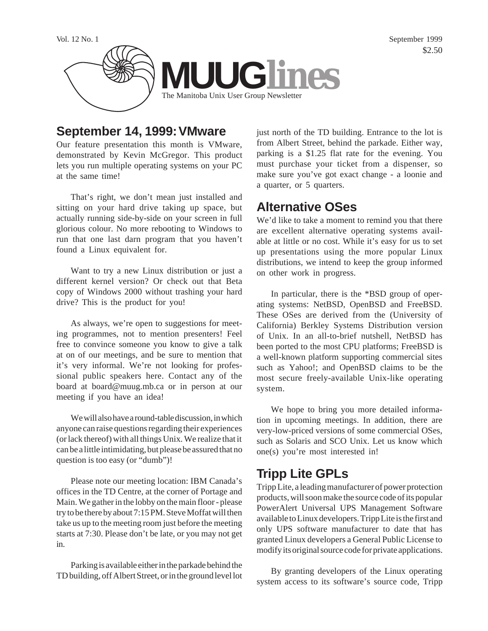

### **September 14, 1999: VMware**

Our feature presentation this month is VMware, demonstrated by Kevin McGregor. This product lets you run multiple operating systems on your PC at the same time!

That's right, we don't mean just installed and sitting on your hard drive taking up space, but actually running side-by-side on your screen in full glorious colour. No more rebooting to Windows to run that one last darn program that you haven't found a Linux equivalent for.

Want to try a new Linux distribution or just a different kernel version? Or check out that Beta copy of Windows 2000 without trashing your hard drive? This is the product for you!

As always, we're open to suggestions for meeting programmes, not to mention presenters! Feel free to convince someone you know to give a talk at on of our meetings, and be sure to mention that it's very informal. We're not looking for professional public speakers here. Contact any of the board at board@muug.mb.ca or in person at our meeting if you have an idea!

We will also have a round-table discussion, in which anyone can raise questions regarding their experiences (or lack thereof) with all things Unix. We realize that it can be a little intimidating, but please be assured that no question is too easy (or "dumb")!

Please note our meeting location: IBM Canada's offices in the TD Centre, at the corner of Portage and Main. We gather in the lobby on the main floor - please try to be there by about 7:15 PM. Steve Moffat will then take us up to the meeting room just before the meeting starts at 7:30. Please don't be late, or you may not get in.

Parking is available either in the parkade behind the TD building, off Albert Street, or in the ground level lot

just north of the TD building. Entrance to the lot is from Albert Street, behind the parkade. Either way, parking is a \$1.25 flat rate for the evening. You must purchase your ticket from a dispenser, so make sure you've got exact change - a loonie and a quarter, or 5 quarters.

## **Alternative OSes**

We'd like to take a moment to remind you that there are excellent alternative operating systems available at little or no cost. While it's easy for us to set up presentations using the more popular Linux distributions, we intend to keep the group informed on other work in progress.

In particular, there is the \*BSD group of operating systems: NetBSD, OpenBSD and FreeBSD. These OSes are derived from the (University of California) Berkley Systems Distribution version of Unix. In an all-to-brief nutshell, NetBSD has been ported to the most CPU platforms; FreeBSD is a well-known platform supporting commercial sites such as Yahoo!; and OpenBSD claims to be the most secure freely-available Unix-like operating system.

We hope to bring you more detailed information in upcoming meetings. In addition, there are very-low-priced versions of some commercial OSes, such as Solaris and SCO Unix. Let us know which one(s) you're most interested in!

# **Tripp Lite GPLs**

Tripp Lite, a leading manufacturer of power protection products, will soon make the source code of its popular PowerAlert Universal UPS Management Software available to Linux developers. Tripp Lite is the first and only UPS software manufacturer to date that has granted Linux developers a General Public License to modify its original source code for private applications.

By granting developers of the Linux operating system access to its software's source code, Tripp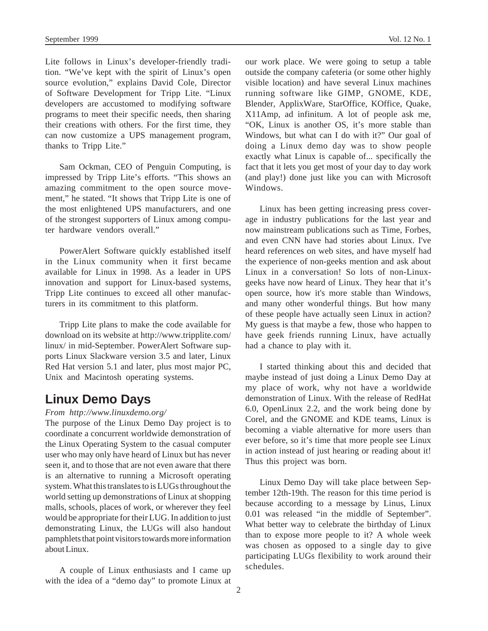Lite follows in Linux's developer-friendly tradition. "We've kept with the spirit of Linux's open source evolution," explains David Cole, Director of Software Development for Tripp Lite. "Linux developers are accustomed to modifying software programs to meet their specific needs, then sharing their creations with others. For the first time, they can now customize a UPS management program, thanks to Tripp Lite."

Sam Ockman, CEO of Penguin Computing, is impressed by Tripp Lite's efforts. "This shows an amazing commitment to the open source movement," he stated. "It shows that Tripp Lite is one of the most enlightened UPS manufacturers, and one of the strongest supporters of Linux among computer hardware vendors overall."

PowerAlert Software quickly established itself in the Linux community when it first became available for Linux in 1998. As a leader in UPS innovation and support for Linux-based systems, Tripp Lite continues to exceed all other manufacturers in its commitment to this platform.

Tripp Lite plans to make the code available for download on its website at http://www.tripplite.com/ linux/ in mid-September. PowerAlert Software supports Linux Slackware version 3.5 and later, Linux Red Hat version 5.1 and later, plus most major PC, Unix and Macintosh operating systems.

#### **Linux Demo Days**

#### *From http://www.linuxdemo.org/*

The purpose of the Linux Demo Day project is to coordinate a concurrent worldwide demonstration of the Linux Operating System to the casual computer user who may only have heard of Linux but has never seen it, and to those that are not even aware that there is an alternative to running a Microsoft operating system. What this translates to is LUGs throughout the world setting up demonstrations of Linux at shopping malls, schools, places of work, or wherever they feel would be appropriate for their LUG. In addition to just demonstrating Linux, the LUGs will also handout pamphlets that point visitors towards more information about Linux.

A couple of Linux enthusiasts and I came up with the idea of a "demo day" to promote Linux at our work place. We were going to setup a table outside the company cafeteria (or some other highly visible location) and have several Linux machines running software like GIMP, GNOME, KDE, Blender, ApplixWare, StarOffice, KOffice, Quake, X11Amp, ad infinitum. A lot of people ask me, "OK, Linux is another OS, it's more stable than Windows, but what can I do with it?" Our goal of doing a Linux demo day was to show people exactly what Linux is capable of... specifically the fact that it lets you get most of your day to day work (and play!) done just like you can with Microsoft Windows.

Linux has been getting increasing press coverage in industry publications for the last year and now mainstream publications such as Time, Forbes, and even CNN have had stories about Linux. I've heard references on web sites, and have myself had the experience of non-geeks mention and ask about Linux in a conversation! So lots of non-Linuxgeeks have now heard of Linux. They hear that it's open source, how it's more stable than Windows, and many other wonderful things. But how many of these people have actually seen Linux in action? My guess is that maybe a few, those who happen to have geek friends running Linux, have actually had a chance to play with it.

I started thinking about this and decided that maybe instead of just doing a Linux Demo Day at my place of work, why not have a worldwide demonstration of Linux. With the release of RedHat 6.0, OpenLinux 2.2, and the work being done by Corel, and the GNOME and KDE teams, Linux is becoming a viable alternative for more users than ever before, so it's time that more people see Linux in action instead of just hearing or reading about it! Thus this project was born.

Linux Demo Day will take place between September 12th-19th. The reason for this time period is because according to a message by Linus, Linux 0.01 was released "in the middle of September". What better way to celebrate the birthday of Linux than to expose more people to it? A whole week was chosen as opposed to a single day to give participating LUGs flexibility to work around their schedules.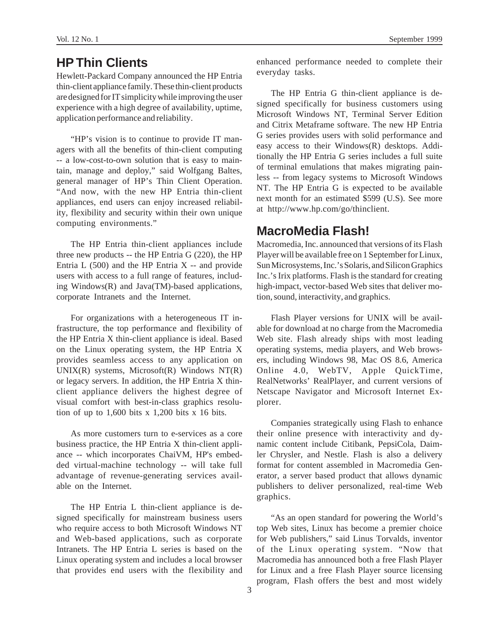## **HP Thin Clients**

Hewlett-Packard Company announced the HP Entria thin-client appliance family. These thin-client products are designed for IT simplicity while improving the user experience with a high degree of availability, uptime, application performance and reliability.

"HP's vision is to continue to provide IT managers with all the benefits of thin-client computing -- a low-cost-to-own solution that is easy to maintain, manage and deploy," said Wolfgang Baltes, general manager of HP's Thin Client Operation. "And now, with the new HP Entria thin-client appliances, end users can enjoy increased reliability, flexibility and security within their own unique computing environments."

The HP Entria thin-client appliances include three new products -- the HP Entria G (220), the HP Entria  $L(500)$  and the HP Entria  $X -$  and provide users with access to a full range of features, including Windows(R) and Java(TM)-based applications, corporate Intranets and the Internet.

For organizations with a heterogeneous IT infrastructure, the top performance and flexibility of the HP Entria X thin-client appliance is ideal. Based on the Linux operating system, the HP Entria X provides seamless access to any application on  $UNIX(R)$  systems, Microsoft $(R)$  Windows NT $(R)$ or legacy servers. In addition, the HP Entria X thinclient appliance delivers the highest degree of visual comfort with best-in-class graphics resolution of up to  $1,600$  bits x  $1,200$  bits x 16 bits.

As more customers turn to e-services as a core business practice, the HP Entria X thin-client appliance -- which incorporates ChaiVM, HP's embedded virtual-machine technology -- will take full advantage of revenue-generating services available on the Internet.

The HP Entria L thin-client appliance is designed specifically for mainstream business users who require access to both Microsoft Windows NT and Web-based applications, such as corporate Intranets. The HP Entria L series is based on the Linux operating system and includes a local browser that provides end users with the flexibility and enhanced performance needed to complete their everyday tasks.

The HP Entria G thin-client appliance is designed specifically for business customers using Microsoft Windows NT, Terminal Server Edition and Citrix Metaframe software. The new HP Entria G series provides users with solid performance and easy access to their Windows(R) desktops. Additionally the HP Entria G series includes a full suite of terminal emulations that makes migrating painless -- from legacy systems to Microsoft Windows NT. The HP Entria G is expected to be available next month for an estimated \$599 (U.S). See more at http://www.hp.com/go/thinclient.

#### **MacroMedia Flash!**

Macromedia, Inc. announced that versions of its Flash Player will be available free on 1 September for Linux, Sun Microsystems, Inc.'s Solaris, and Silicon Graphics Inc.'s Irix platforms. Flash is the standard for creating high-impact, vector-based Web sites that deliver motion, sound, interactivity, and graphics.

Flash Player versions for UNIX will be available for download at no charge from the Macromedia Web site. Flash already ships with most leading operating systems, media players, and Web browsers, including Windows 98, Mac OS 8.6, America Online 4.0, WebTV, Apple QuickTime, RealNetworks' RealPlayer, and current versions of Netscape Navigator and Microsoft Internet Explorer.

Companies strategically using Flash to enhance their online presence with interactivity and dynamic content include Citibank, PepsiCola, Daimler Chrysler, and Nestle. Flash is also a delivery format for content assembled in Macromedia Generator, a server based product that allows dynamic publishers to deliver personalized, real-time Web graphics.

"As an open standard for powering the World's top Web sites, Linux has become a premier choice for Web publishers," said Linus Torvalds, inventor of the Linux operating system. "Now that Macromedia has announced both a free Flash Player for Linux and a free Flash Player source licensing program, Flash offers the best and most widely